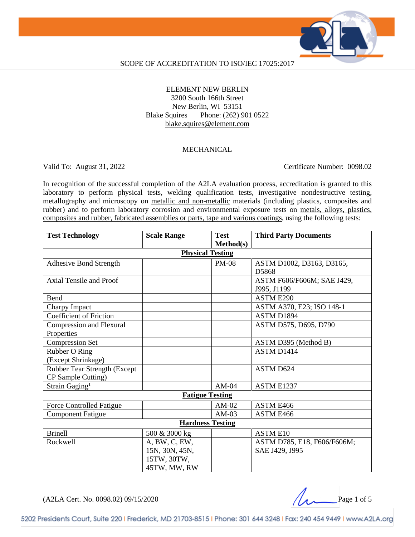

#### SCOPE OF ACCREDITATION TO ISO/IEC 17025:2017

### ELEMENT NEW BERLIN 3200 South 166th Street New Berlin, WI 53151 Blake Squires Phone: (262) 901 0522 [blake.squires@element.com](mailto:blake.squires@element.com)

### MECHANICAL

Valid To: August 31, 2022 Certificate Number: 0098.02

In recognition of the successful completion of the A2LA evaluation process, accreditation is granted to this laboratory to perform physical tests, welding qualification tests, investigative nondestructive testing, metallography and microscopy on metallic and non-metallic materials (including plastics, composites and rubber) and to perform laboratory corrosion and environmental exposure tests on metals, alloys, plastics, composites and rubber, fabricated assemblies or parts, tape and various coatings, using the following tests:

| <b>Test Technology</b>          | <b>Scale Range</b>      | <b>Test</b>      | <b>Third Party Documents</b> |  |
|---------------------------------|-------------------------|------------------|------------------------------|--|
|                                 |                         | <b>Method(s)</b> |                              |  |
|                                 | <b>Physical Testing</b> |                  |                              |  |
| <b>Adhesive Bond Strength</b>   |                         | <b>PM-08</b>     | ASTM D1002, D3163, D3165,    |  |
|                                 |                         |                  | D5868                        |  |
| Axial Tensile and Proof         |                         |                  | ASTM F606/F606M; SAE J429,   |  |
|                                 |                         |                  | J995, J1199                  |  |
| Bend                            |                         |                  | ASTM E290                    |  |
| Charpy Impact                   |                         |                  | ASTM A370, E23; ISO 148-1    |  |
| <b>Coefficient of Friction</b>  |                         |                  | ASTM D1894                   |  |
| Compression and Flexural        |                         |                  | ASTM D575, D695, D790        |  |
| Properties                      |                         |                  |                              |  |
| <b>Compression Set</b>          |                         |                  | ASTM D395 (Method B)         |  |
| Rubber O Ring                   |                         |                  | ASTM D1414                   |  |
| (Except Shrinkage)              |                         |                  |                              |  |
| Rubber Tear Strength (Except    |                         |                  | ASTM D624                    |  |
| CP Sample Cutting)              |                         |                  |                              |  |
| Strain Gaging <sup>1</sup>      |                         | $AM-04$          | ASTM E1237                   |  |
| <b>Fatigue Testing</b>          |                         |                  |                              |  |
| <b>Force Controlled Fatigue</b> |                         | $AM-02$          | ASTM E466                    |  |
| <b>Component Fatigue</b>        |                         | $AM-03$          | ASTM E466                    |  |
| <b>Hardness Testing</b>         |                         |                  |                              |  |
| <b>Brinell</b>                  | 500 & 3000 kg           |                  | <b>ASTM E10</b>              |  |
| Rockwell                        | A, BW, C, EW,           |                  | ASTM D785, E18, F606/F606M;  |  |
|                                 | 15N, 30N, 45N,          |                  | SAE J429, J995               |  |
|                                 | 15TW, 30TW,             |                  |                              |  |
|                                 | 45TW, MW, RW            |                  |                              |  |

 $(A2LA$  Cert. No. 0098.02) 09/15/2020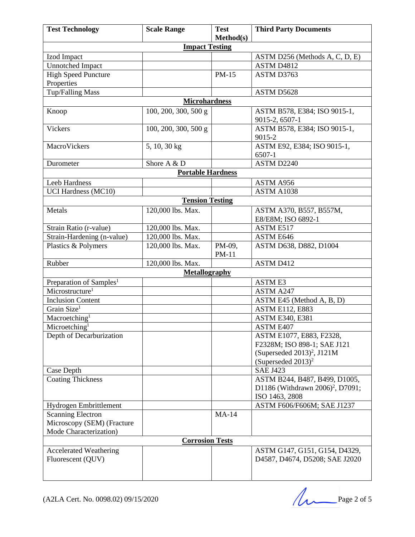| <b>Test Technology</b>                                 | <b>Scale Range</b>       | <b>Test</b> | <b>Third Party Documents</b>                                    |
|--------------------------------------------------------|--------------------------|-------------|-----------------------------------------------------------------|
|                                                        |                          | Method(s)   |                                                                 |
|                                                        | <b>Impact Testing</b>    |             |                                                                 |
| Izod Impact                                            |                          |             | ASTM D256 (Methods A, C, D, E)                                  |
| Unnotched Impact                                       |                          |             | ASTM D4812                                                      |
| <b>High Speed Puncture</b>                             |                          | PM-15       | ASTM D3763                                                      |
| Properties                                             |                          |             |                                                                 |
| Tup/Falling Mass                                       |                          |             | ASTM D5628                                                      |
|                                                        | <b>Microhardness</b>     |             |                                                                 |
| Knoop                                                  | 100, 200, 300, 500 g     |             | ASTM B578, E384; ISO 9015-1,                                    |
|                                                        |                          |             | 9015-2, 6507-1                                                  |
| Vickers                                                | 100, 200, 300, 500 g     |             | ASTM B578, E384; ISO 9015-1,<br>9015-2                          |
| MacroVickers                                           | 5, 10, 30 kg             |             | ASTM E92, E384; ISO 9015-1,<br>6507-1                           |
| Durometer                                              | Shore A & D              |             | ASTM D2240                                                      |
|                                                        | <b>Portable Hardness</b> |             |                                                                 |
|                                                        |                          |             |                                                                 |
| Leeb Hardness                                          |                          |             | ASTM A956<br><b>ASTM A1038</b>                                  |
| <b>UCI Hardness (MC10)</b>                             | <b>Tension Testing</b>   |             |                                                                 |
|                                                        |                          |             |                                                                 |
| Metals                                                 | 120,000 lbs. Max.        |             | ASTM A370, B557, B557M,                                         |
| Strain Ratio (r-value)                                 | 120,000 lbs. Max.        |             | E8/E8M; ISO 6892-1<br>ASTM E517                                 |
| Strain-Hardening (n-value)                             | 120,000 lbs. Max.        |             | ASTM E646                                                       |
| Plastics & Polymers                                    | 120,000 lbs. Max.        | PM-09,      | ASTM D638, D882, D1004                                          |
|                                                        |                          | $PM-11$     |                                                                 |
| Rubber                                                 | 120,000 lbs. Max.        |             | ASTM D412                                                       |
|                                                        | <b>Metallography</b>     |             |                                                                 |
| Preparation of Samples <sup>1</sup>                    |                          |             | <b>ASTME3</b>                                                   |
| Microstructure <sup>1</sup>                            |                          |             | <b>ASTM A247</b>                                                |
| <b>Inclusion Content</b>                               |                          |             | ASTM E45 (Method A, B, D)                                       |
| Grain Size <sup>1</sup>                                |                          |             | <b>ASTM E112, E883</b>                                          |
| Macroetching <sup>1</sup>                              |                          |             | <b>ASTM E340, E381</b>                                          |
| Microetching <sup>1</sup>                              |                          |             | ASTM E407                                                       |
| Depth of Decarburization                               |                          |             | ASTM E1077, E883, F2328,                                        |
|                                                        |                          |             | F2328M; ISO 898-1; SAE J121                                     |
|                                                        |                          |             | (Superseded $2013$ ) <sup>2</sup> , J121M                       |
|                                                        |                          |             | (Superseded $2013$ ) <sup>2</sup>                               |
| Case Depth                                             |                          |             | <b>SAE J423</b>                                                 |
| <b>Coating Thickness</b>                               |                          |             | ASTM B244, B487, B499, D1005,                                   |
|                                                        |                          |             | D1186 (Withdrawn 2006) <sup>2</sup> , D7091;                    |
|                                                        |                          |             | ISO 1463, 2808                                                  |
| Hydrogen Embrittlement                                 |                          |             | ASTM F606/F606M; SAE J1237                                      |
| <b>Scanning Electron</b><br>Microscopy (SEM) (Fracture |                          | $MA-14$     |                                                                 |
| Mode Characterization)                                 |                          |             |                                                                 |
|                                                        | <b>Corrosion Tests</b>   |             |                                                                 |
|                                                        |                          |             |                                                                 |
| Accelerated Weathering<br>Fluorescent (QUV)            |                          |             | ASTM G147, G151, G154, D4329,<br>D4587, D4674, D5208; SAE J2020 |
|                                                        |                          |             |                                                                 |
|                                                        |                          |             |                                                                 |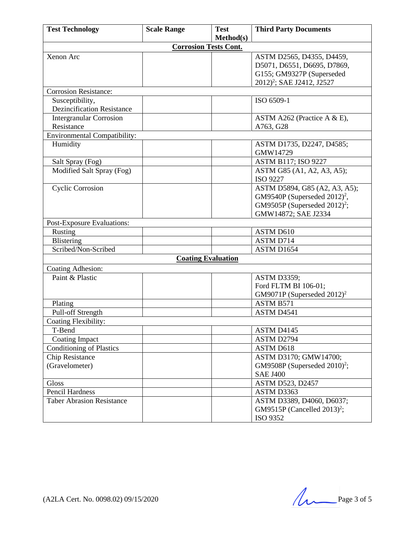| <b>Test Technology</b>              | <b>Scale Range</b>           | <b>Test</b> | <b>Third Party Documents</b>                |
|-------------------------------------|------------------------------|-------------|---------------------------------------------|
|                                     |                              | Method(s)   |                                             |
|                                     | <b>Corrosion Tests Cont.</b> |             |                                             |
| Xenon Arc                           |                              |             | ASTM D2565, D4355, D4459,                   |
|                                     |                              |             | D5071, D6551, D6695, D7869,                 |
|                                     |                              |             | G155; GM9327P (Superseded                   |
|                                     |                              |             | 2012) <sup>2</sup> ; SAE J2412, J2527       |
| <b>Corrosion Resistance:</b>        |                              |             |                                             |
| Susceptibility,                     |                              |             | ISO 6509-1                                  |
| <b>Dezincification Resistance</b>   |                              |             |                                             |
| <b>Intergranular Corrosion</b>      |                              |             | ASTM A262 (Practice A & E),                 |
| Resistance                          |                              |             | A763, G28                                   |
| <b>Environmental Compatibility:</b> |                              |             |                                             |
| Humidity                            |                              |             | ASTM D1735, D2247, D4585;<br>GMW14729       |
| Salt Spray (Fog)                    |                              |             | <b>ASTM B117; ISO 9227</b>                  |
| Modified Salt Spray (Fog)           |                              |             | ASTM G85 (A1, A2, A3, A5);                  |
|                                     |                              |             | ISO 9227                                    |
| <b>Cyclic Corrosion</b>             |                              |             | ASTM D5894, G85 (A2, A3, A5);               |
|                                     |                              |             | GM9540P (Superseded $2012$ ) <sup>2</sup> , |
|                                     |                              |             | GM9505P (Superseded 2012) <sup>2</sup> ;    |
|                                     |                              |             | GMW14872; SAE J2334                         |
| Post-Exposure Evaluations:          |                              |             |                                             |
| Rusting                             |                              |             | ASTM D610                                   |
| Blistering                          |                              |             | ASTM D714                                   |
| Scribed/Non-Scribed                 |                              |             | ASTM D1654                                  |
|                                     | <b>Coating Evaluation</b>    |             |                                             |
| Coating Adhesion:                   |                              |             |                                             |
| Paint & Plastic                     |                              |             | <b>ASTM D3359;</b>                          |
|                                     |                              |             | Ford FLTM BI 106-01;                        |
|                                     |                              |             | GM9071P (Superseded $2012$ ) <sup>2</sup>   |
| Plating                             |                              |             | ASTM B571                                   |
| Pull-off Strength                   |                              |             | ASTM D4541                                  |
| <b>Coating Flexibility:</b>         |                              |             |                                             |
| T-Bend                              |                              |             | ASTM D4145                                  |
| <b>Coating Impact</b>               |                              |             | ASTM D2794                                  |
| <b>Conditioning of Plastics</b>     |                              |             | ASTM D618                                   |
| Chip Resistance                     |                              |             | ASTM D3170; GMW14700;                       |
| (Gravelometer)                      |                              |             | GM9508P (Superseded 2010) <sup>2</sup> ;    |
|                                     |                              |             | <b>SAE J400</b>                             |
| Gloss                               |                              |             | <b>ASTM D523, D2457</b>                     |
| Pencil Hardness                     |                              |             | ASTM D3363                                  |
| <b>Taber Abrasion Resistance</b>    |                              |             | ASTM D3389, D4060, D6037;                   |
|                                     |                              |             | GM9515P (Cancelled 2013) <sup>2</sup> ;     |
|                                     |                              |             | ISO 9352                                    |

(A2LA Cert. No. 0098.02) 09/15/2020 Page 3 of 5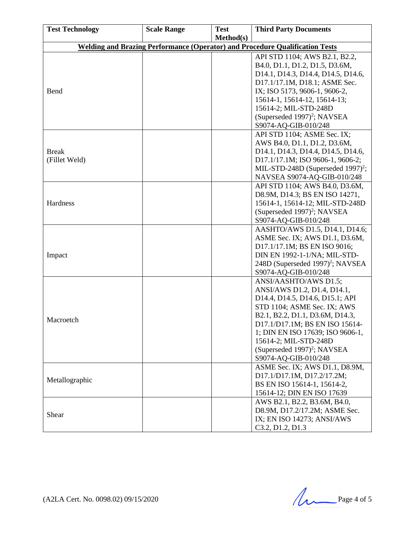| <b>Test Technology</b>        | <b>Scale Range</b> | <b>Test</b> | <b>Third Party Documents</b>                                                        |
|-------------------------------|--------------------|-------------|-------------------------------------------------------------------------------------|
|                               |                    | Method(s)   |                                                                                     |
|                               |                    |             | <b>Welding and Brazing Performance (Operator) and Procedure Qualification Tests</b> |
|                               |                    |             | API STD 1104; AWS B2.1, B2.2,                                                       |
|                               |                    |             | B4.0, D1.1, D1.2, D1.5, D3.6M,                                                      |
|                               |                    |             | D14.1, D14.3, D14.4, D14.5, D14.6,                                                  |
|                               |                    |             | D17.1/17.1M, D18.1; ASME Sec.                                                       |
| Bend                          |                    |             | IX; ISO 5173, 9606-1, 9606-2,                                                       |
|                               |                    |             | 15614-1, 15614-12, 15614-13;                                                        |
|                               |                    |             | 15614-2; MIL-STD-248D                                                               |
|                               |                    |             | (Superseded 1997) <sup>2</sup> ; NAVSEA                                             |
|                               |                    |             | S9074-AQ-GIB-010/248                                                                |
|                               |                    |             | API STD 1104; ASME Sec. IX;                                                         |
|                               |                    |             | AWS B4.0, D1.1, D1.2, D3.6M,                                                        |
| <b>Break</b><br>(Fillet Weld) |                    |             | D14.1, D14.3, D14.4, D14.5, D14.6,                                                  |
|                               |                    |             | D17.1/17.1M; ISO 9606-1, 9606-2;<br>MIL-STD-248D (Superseded 1997) <sup>2</sup> ;   |
|                               |                    |             | NAVSEA S9074-AQ-GIB-010/248                                                         |
|                               |                    |             | API STD 1104; AWS B4.0, D3.6M,                                                      |
| Hardness                      |                    |             | D8.9M, D14.3; BS EN ISO 14271,                                                      |
|                               |                    |             | 15614-1, 15614-12; MIL-STD-248D                                                     |
|                               |                    |             | (Superseded 1997) <sup>2</sup> ; NAVSEA                                             |
|                               |                    |             | S9074-AQ-GIB-010/248                                                                |
|                               |                    |             | AASHTO/AWS D1.5, D14.1, D14.6;                                                      |
|                               |                    |             | ASME Sec. IX; AWS D1.1, D3.6M,                                                      |
|                               |                    |             | D17.1/17.1M; BS EN ISO 9016;                                                        |
| Impact                        |                    |             | DIN EN 1992-1-1/NA; MIL-STD-                                                        |
|                               |                    |             | 248D (Superseded 1997) <sup>2</sup> ; NAVSEA                                        |
|                               |                    |             | S9074-AQ-GIB-010/248                                                                |
|                               |                    |             | ANSI/AASHTO/AWS D1.5;                                                               |
|                               |                    |             | ANSI/AWS D1.2, D1.4, D14.1,                                                         |
|                               |                    |             | D14.4, D14.5, D14.6, D15.1; API                                                     |
| Macroetch                     |                    |             | STD 1104; ASME Sec. IX; AWS                                                         |
|                               |                    |             | B2.1, B2.2, D1.1, D3.6M, D14.3,                                                     |
|                               |                    |             | D17.1/D17.1M; BS EN ISO 15614-                                                      |
|                               |                    |             | 1; DIN EN ISO 17639; ISO 9606-1,                                                    |
|                               |                    |             | 15614-2; MIL-STD-248D                                                               |
|                               |                    |             | (Superseded 1997) <sup>2</sup> ; NAVSEA<br>S9074-AQ-GIB-010/248                     |
|                               |                    |             | ASME Sec. IX; AWS D1.1, D8.9M,                                                      |
| Metallographic                |                    |             | D17.1/D17.1M, D17.2/17.2M;                                                          |
|                               |                    |             | BS EN ISO 15614-1, 15614-2,                                                         |
|                               |                    |             | 15614-12; DIN EN ISO 17639                                                          |
|                               |                    |             | AWS B2.1, B2.2, B3.6M, B4.0,                                                        |
| Shear                         |                    |             | D8.9M, D17.2/17.2M; ASME Sec.                                                       |
|                               |                    |             | IX; EN ISO 14273; ANSI/AWS                                                          |
|                               |                    |             | C <sub>3.2</sub> , D <sub>1.2</sub> , D <sub>1.3</sub>                              |

 $(A2LA$  Cert. No. 0098.02) 09/15/2020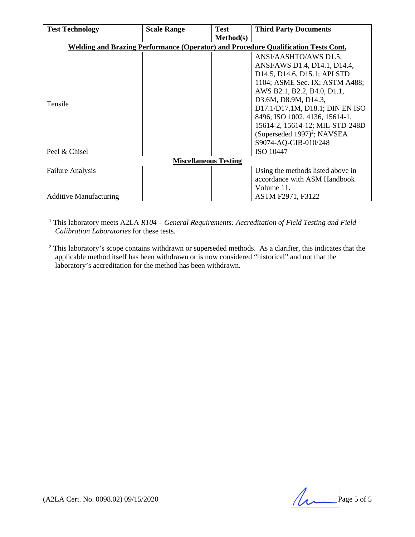| <b>Test Technology</b>        | <b>Scale Range</b> | <b>Test</b> | <b>Third Party Documents</b>                                                       |
|-------------------------------|--------------------|-------------|------------------------------------------------------------------------------------|
|                               |                    | Method(s)   |                                                                                    |
|                               |                    |             | Welding and Brazing Performance (Operator) and Procedure Qualification Tests Cont. |
|                               |                    |             | ANSI/AASHTO/AWS D1.5;                                                              |
|                               |                    |             | ANSI/AWS D1.4, D14.1, D14.4,                                                       |
|                               |                    |             | D14.5, D14.6, D15.1; API STD                                                       |
|                               |                    |             | 1104; ASME Sec. IX; ASTM A488;                                                     |
|                               |                    |             | AWS B2.1, B2.2, B4.0, D1.1,                                                        |
| Tensile                       |                    |             | D3.6M, D8.9M, D14.3,                                                               |
|                               |                    |             | D17.1/D17.1M, D18.1; DIN EN ISO                                                    |
|                               |                    |             | 8496; ISO 1002, 4136, 15614-1,                                                     |
|                               |                    |             | 15614-2, 15614-12; MIL-STD-248D                                                    |
|                               |                    |             | (Superseded 1997) <sup>2</sup> ; NAVSEA                                            |
|                               |                    |             | S9074-AQ-GIB-010/248                                                               |
| Peel & Chisel                 |                    |             | ISO 10447                                                                          |
| <b>Miscellaneous Testing</b>  |                    |             |                                                                                    |
| <b>Failure Analysis</b>       |                    |             | Using the methods listed above in                                                  |
|                               |                    |             | accordance with ASM Handbook                                                       |
|                               |                    |             | Volume 11.                                                                         |
| <b>Additive Manufacturing</b> |                    |             | ASTM F2971, F3122                                                                  |

<sup>1</sup> This laboratory meets A2LA *R104 – General Requirements: Accreditation of Field Testing and Field Calibration Laboratories* for these tests.

<sup>2</sup> This laboratory's scope contains withdrawn or superseded methods. As a clarifier, this indicates that the applicable method itself has been withdrawn or is now considered "historical" and not that the laboratory's accreditation for the method has been withdrawn.

 $(A2LA$  Cert. No. 0098.02) 09/15/2020